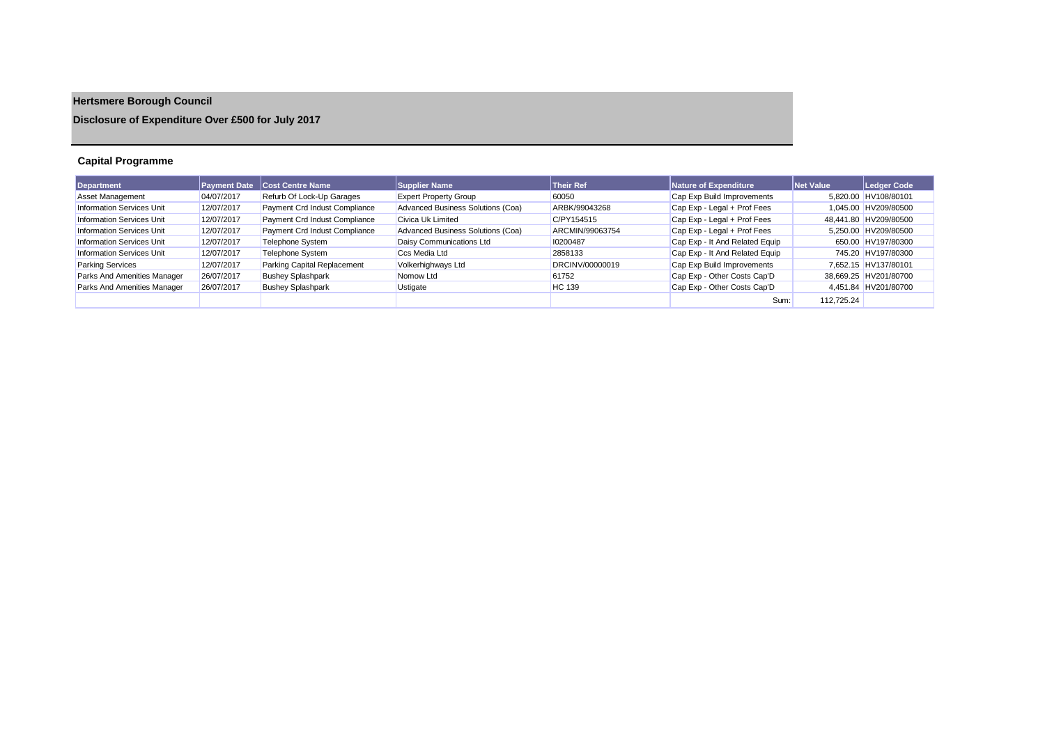# **Hertsmere Borough Council**

# **Disclosure of Expenditure Over £500 for July 2017**

# **Capital Programme**

| Department                       | <b>Payment Date</b> | <b>Cost Centre Name</b>       | <b>Supplier Name</b>              | <b>Their Ref</b> | Nature of Expenditure          | <b>Net Value</b> | Ledger Code           |
|----------------------------------|---------------------|-------------------------------|-----------------------------------|------------------|--------------------------------|------------------|-----------------------|
| Asset Management                 | 04/07/2017          | Refurb Of Lock-Up Garages     | <b>Expert Property Group</b>      | 60050            | Cap Exp Build Improvements     |                  | 5.820.00 HV108/80101  |
| <b>Information Services Unit</b> | 12/07/2017          | Payment Crd Indust Compliance | Advanced Business Solutions (Coa) | ARBK/99043268    | Cap Exp - Legal + Prof Fees    |                  | 1.045.00 HV209/80500  |
| <b>Information Services Unit</b> | 12/07/2017          | Payment Crd Indust Compliance | Civica Uk Limited                 | C/PY154515       | Cap Exp - Legal + Prof Fees    |                  | 48.441.80 HV209/80500 |
| <b>Information Services Unit</b> | 12/07/2017          | Payment Crd Indust Compliance | Advanced Business Solutions (Coa) | ARCMIN/99063754  | Cap Exp - Legal + Prof Fees    |                  | 5.250.00 HV209/80500  |
| <b>Information Services Unit</b> | 12/07/2017          | Telephone System              | Daisy Communications Ltd          | 10200487         | Cap Exp - It And Related Equip |                  | 650.00 HV197/80300    |
| <b>Information Services Unit</b> | 12/07/2017          | Telephone System              | Ccs Media Ltd                     | 2858133          | Cap Exp - It And Related Equip |                  | 745.20 HV197/80300    |
| <b>Parking Services</b>          | 12/07/2017          | Parking Capital Replacement   | Volkerhighways Ltd                | DRCINV/00000019  | Cap Exp Build Improvements     |                  | 7.652.15 HV137/80101  |
| Parks And Amenities Manager      | 26/07/2017          | <b>Bushey Splashpark</b>      | Nomow Ltd                         | 61752            | Cap Exp - Other Costs Cap'D    |                  | 38,669.25 HV201/80700 |
| Parks And Amenities Manager      | 26/07/2017          | <b>Bushey Splashpark</b>      | Ustigate                          | <b>HC</b> 139    | Cap Exp - Other Costs Cap'D    |                  | 4.451.84 HV201/80700  |
|                                  |                     |                               |                                   |                  | Sum:                           | 112.725.24       |                       |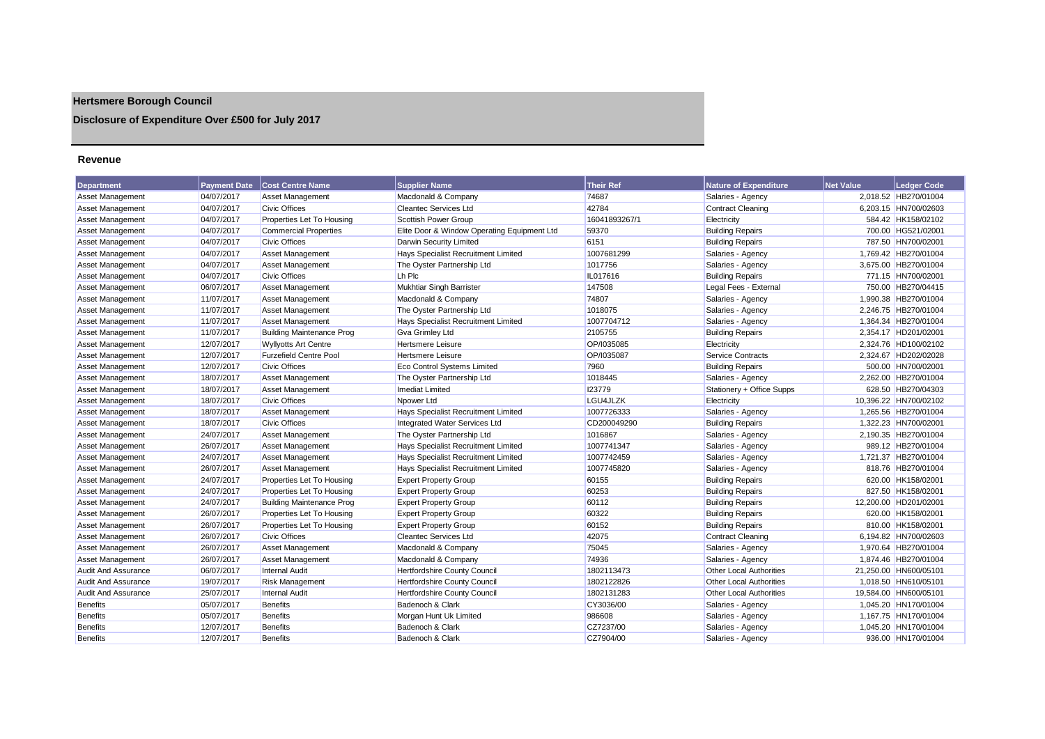# **Hertsmere Borough Council**

# **Disclosure of Expenditure Over £500 for July 2017**

### **Revenue**

| <b>Department</b>          | <b>Payment Date</b> | <b>Cost Centre Name</b>          | <b>Supplier Name</b>                        | <b>Their Ref</b> | <b>Nature of Expenditure</b>   | <b>Net Value</b> | <b>Ledger Code</b>    |
|----------------------------|---------------------|----------------------------------|---------------------------------------------|------------------|--------------------------------|------------------|-----------------------|
| Asset Management           | 04/07/2017          | Asset Management                 | Macdonald & Company                         | 74687            | Salaries - Agency              |                  | 2,018.52 HB270/01004  |
| Asset Management           | 04/07/2017          | <b>Civic Offices</b>             | <b>Cleantec Services Ltd</b>                | 42784            | <b>Contract Cleaning</b>       |                  | 6,203.15 HN700/02603  |
| Asset Management           | 04/07/2017          | Properties Let To Housing        | <b>Scottish Power Group</b>                 | 16041893267/1    | Electricity                    |                  | 584.42 HK158/02102    |
| Asset Management           | 04/07/2017          | <b>Commercial Properties</b>     | Elite Door & Window Operating Equipment Ltd | 59370            | <b>Building Repairs</b>        |                  | 700.00 HG521/02001    |
| Asset Management           | 04/07/2017          | <b>Civic Offices</b>             | Darwin Security Limited                     | 6151             | <b>Building Repairs</b>        |                  | 787.50 HN700/02001    |
| Asset Management           | 04/07/2017          | <b>Asset Management</b>          | Hays Specialist Recruitment Limited         | 1007681299       | Salaries - Agency              |                  | 1,769.42 HB270/01004  |
| <b>Asset Management</b>    | 04/07/2017          | <b>Asset Management</b>          | The Oyster Partnership Ltd                  | 1017756          | Salaries - Agency              |                  | 3,675.00 HB270/01004  |
| Asset Management           | 04/07/2017          | <b>Civic Offices</b>             | Lh Plc                                      | IL017616         | <b>Building Repairs</b>        |                  | 771.15 HN700/02001    |
| Asset Management           | 06/07/2017          | Asset Management                 | Mukhtiar Singh Barrister                    | 147508           | Legal Fees - External          |                  | 750.00 HB270/04415    |
| <b>Asset Management</b>    | 11/07/2017          | Asset Management                 | Macdonald & Company                         | 74807            | Salaries - Agency              |                  | 1,990.38 HB270/01004  |
| Asset Management           | 11/07/2017          | Asset Management                 | The Oyster Partnership Ltd                  | 1018075          | Salaries - Agency              |                  | 2,246.75 HB270/01004  |
| Asset Management           | 11/07/2017          | <b>Asset Management</b>          | Hays Specialist Recruitment Limited         | 1007704712       | Salaries - Agency              |                  | 1,364.34 HB270/01004  |
| Asset Management           | 11/07/2017          | <b>Building Maintenance Prog</b> | Gva Grimley Ltd                             | 2105755          | <b>Building Repairs</b>        |                  | 2,354.17 HD201/02001  |
| Asset Management           | 12/07/2017          | <b>Wyllyotts Art Centre</b>      | Hertsmere Leisure                           | OP/I035085       | Electricity                    |                  | 2.324.76 HD100/02102  |
| Asset Management           | 12/07/2017          | <b>Furzefield Centre Pool</b>    | Hertsmere Leisure                           | OP/I035087       | Service Contracts              |                  | 2,324.67 HD202/02028  |
| Asset Management           | 12/07/2017          | <b>Civic Offices</b>             | <b>Eco Control Systems Limited</b>          | 7960             | <b>Building Repairs</b>        |                  | 500.00 HN700/02001    |
| Asset Management           | 18/07/2017          | <b>Asset Management</b>          | The Oyster Partnership Ltd                  | 1018445          | Salaries - Agency              |                  | 2.262.00 HB270/01004  |
| Asset Management           | 18/07/2017          | Asset Management                 | Imediat Limited                             | 123779           | Stationery + Office Supps      |                  | 628.50 HB270/04303    |
| Asset Management           | 18/07/2017          | Civic Offices                    | Npower Ltd                                  | LGU4JLZK         | Electricity                    |                  | 10,396.22 HN700/02102 |
| <b>Asset Management</b>    | 18/07/2017          | <b>Asset Management</b>          | Hays Specialist Recruitment Limited         | 1007726333       | Salaries - Agency              |                  | 1,265.56 HB270/01004  |
| <b>Asset Management</b>    | 18/07/2017          | <b>Civic Offices</b>             | Integrated Water Services Ltd               | CD200049290      | <b>Building Repairs</b>        |                  | 1.322.23 HN700/02001  |
| Asset Management           | 24/07/2017          | <b>Asset Management</b>          | The Oyster Partnership Ltd                  | 1016867          | Salaries - Agency              |                  | 2,190.35 HB270/01004  |
| Asset Management           | 26/07/2017          | Asset Management                 | Hays Specialist Recruitment Limited         | 1007741347       | Salaries - Agency              |                  | 989.12 HB270/01004    |
| Asset Management           | 24/07/2017          | <b>Asset Management</b>          | Hays Specialist Recruitment Limited         | 1007742459       | Salaries - Agency              |                  | 1,721.37 HB270/01004  |
| Asset Management           | 26/07/2017          | Asset Management                 | Hays Specialist Recruitment Limited         | 1007745820       | Salaries - Agency              |                  | 818.76 HB270/01004    |
| Asset Management           | 24/07/2017          | Properties Let To Housing        | <b>Expert Property Group</b>                | 60155            | <b>Building Repairs</b>        |                  | 620.00 HK158/02001    |
| <b>Asset Management</b>    | 24/07/2017          | Properties Let To Housing        | <b>Expert Property Group</b>                | 60253            | <b>Building Repairs</b>        |                  | 827.50 HK158/02001    |
| Asset Management           | 24/07/2017          | <b>Building Maintenance Prog</b> | <b>Expert Property Group</b>                | 60112            | <b>Building Repairs</b>        |                  | 12,200.00 HD201/02001 |
| Asset Management           | 26/07/2017          | Properties Let To Housing        | <b>Expert Property Group</b>                | 60322            | <b>Building Repairs</b>        |                  | 620.00 HK158/02001    |
| <b>Asset Management</b>    | 26/07/2017          | Properties Let To Housing        | <b>Expert Property Group</b>                | 60152            | <b>Building Repairs</b>        |                  | 810.00 HK158/02001    |
| Asset Management           | 26/07/2017          | <b>Civic Offices</b>             | <b>Cleantec Services Ltd</b>                | 42075            | <b>Contract Cleaning</b>       |                  | 6,194.82 HN700/02603  |
| <b>Asset Management</b>    | 26/07/2017          | <b>Asset Management</b>          | Macdonald & Company                         | 75045            | Salaries - Agency              |                  | 1,970.64 HB270/01004  |
| Asset Management           | 26/07/2017          | Asset Management                 | Macdonald & Company                         | 74936            | Salaries - Agency              |                  | 1,874.46 HB270/01004  |
| <b>Audit And Assurance</b> | 06/07/2017          | <b>Internal Audit</b>            | Hertfordshire County Council                | 1802113473       | <b>Other Local Authorities</b> |                  | 21,250.00 HN600/05101 |
| <b>Audit And Assurance</b> | 19/07/2017          | <b>Risk Management</b>           | Hertfordshire County Council                | 1802122826       | <b>Other Local Authorities</b> |                  | 1.018.50 HN610/05101  |
| <b>Audit And Assurance</b> | 25/07/2017          | <b>Internal Audit</b>            | Hertfordshire County Council                | 1802131283       | <b>Other Local Authorities</b> |                  | 19,584.00 HN600/05101 |
| <b>Benefits</b>            | 05/07/2017          | <b>Benefits</b>                  | Badenoch & Clark                            | CY3036/00        | Salaries - Agency              |                  | 1.045.20 HN170/01004  |
| <b>Benefits</b>            | 05/07/2017          | <b>Benefits</b>                  | Morgan Hunt Uk Limited                      | 986608           | Salaries - Agency              |                  | 1,167.75 HN170/01004  |
| <b>Benefits</b>            | 12/07/2017          | <b>Benefits</b>                  | Badenoch & Clark                            | CZ7237/00        | Salaries - Agency              |                  | 1,045.20 HN170/01004  |
| <b>Benefits</b>            | 12/07/2017          | <b>Benefits</b>                  | Badenoch & Clark                            | CZ7904/00        | Salaries - Agency              |                  | 936.00 HN170/01004    |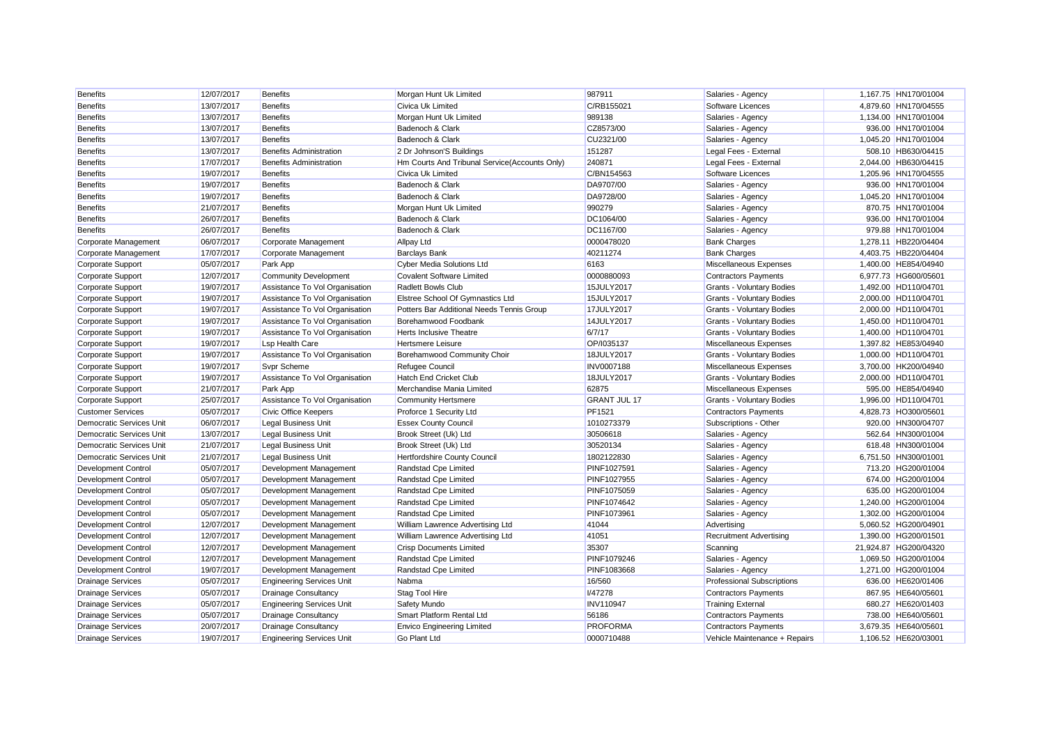| <b>Benefits</b>                 | 12/07/2017 | <b>Benefits</b>                  | Morgan Hunt Uk Limited                        | 987911              | Salaries - Agency                 | 1.167.75 HN170/01004  |
|---------------------------------|------------|----------------------------------|-----------------------------------------------|---------------------|-----------------------------------|-----------------------|
| <b>Benefits</b>                 | 13/07/2017 | <b>Benefits</b>                  | Civica Uk Limited                             | C/RB155021          | <b>Software Licences</b>          | 4.879.60 HN170/04555  |
| <b>Benefits</b>                 | 13/07/2017 | <b>Benefits</b>                  | Morgan Hunt Uk Limited                        | 989138              | Salaries - Agency                 | 1,134.00 HN170/01004  |
| <b>Benefits</b>                 | 13/07/2017 | <b>Benefits</b>                  | Badenoch & Clark                              | CZ8573/00           | Salaries - Agency                 | 936.00 HN170/01004    |
| <b>Benefits</b>                 | 13/07/2017 | <b>Benefits</b>                  | Badenoch & Clark                              | CU2321/00           | Salaries - Agency                 | 1,045.20 HN170/01004  |
| <b>Benefits</b>                 | 13/07/2017 | <b>Benefits Administration</b>   | 2 Dr Johnson'S Buildings                      | 151287              | Legal Fees - External             | 508.10 HB630/04415    |
| <b>Benefits</b>                 | 17/07/2017 | <b>Benefits Administration</b>   | Hm Courts And Tribunal Service(Accounts Only) | 240871              | Legal Fees - External             | 2,044.00 HB630/04415  |
| <b>Benefits</b>                 | 19/07/2017 | <b>Benefits</b>                  | Civica Uk Limited                             | C/BN154563          | Software Licences                 | 1,205.96 HN170/04555  |
| <b>Benefits</b>                 | 19/07/2017 | <b>Benefits</b>                  | Badenoch & Clark                              | DA9707/00           | Salaries - Agency                 | 936.00 HN170/01004    |
| <b>Benefits</b>                 | 19/07/2017 | <b>Benefits</b>                  | Badenoch & Clark                              | DA9728/00           | Salaries - Agency                 | 1.045.20 HN170/01004  |
| <b>Benefits</b>                 | 21/07/2017 | <b>Benefits</b>                  | Morgan Hunt Uk Limited                        | 990279              | Salaries - Agency                 | 870.75 HN170/01004    |
| <b>Benefits</b>                 | 26/07/2017 | <b>Benefits</b>                  | Badenoch & Clark                              | DC1064/00           | Salaries - Agency                 | 936.00 HN170/01004    |
| <b>Benefits</b>                 | 26/07/2017 | <b>Benefits</b>                  | Badenoch & Clark                              | DC1167/00           | Salaries - Agency                 | 979.88 HN170/01004    |
| Corporate Management            | 06/07/2017 | Corporate Management             | <b>Allpay Ltd</b>                             | 0000478020          | <b>Bank Charges</b>               | 1,278.11 HB220/04404  |
| Corporate Management            | 17/07/2017 | Corporate Management             | <b>Barclays Bank</b>                          | 40211274            | <b>Bank Charges</b>               | 4,403.75 HB220/04404  |
| Corporate Support               | 05/07/2017 | Park App                         | <b>Cyber Media Solutions Ltd</b>              | 6163                | Miscellaneous Expenses            | 1,400.00 HE854/04940  |
| Corporate Support               | 12/07/2017 | <b>Community Development</b>     | <b>Covalent Software Limited</b>              | 0000880093          | <b>Contractors Payments</b>       | 6,977.73 HG600/05601  |
| Corporate Support               | 19/07/2017 | Assistance To Vol Organisation   | Radlett Bowls Club                            | 15JULY2017          | Grants - Voluntary Bodies         | 1,492.00 HD110/04701  |
| Corporate Support               | 19/07/2017 | Assistance To Vol Organisation   | Elstree School Of Gymnastics Ltd              | 15JULY2017          | Grants - Voluntary Bodies         | 2,000.00 HD110/04701  |
| Corporate Support               | 19/07/2017 | Assistance To Vol Organisation   | Potters Bar Additional Needs Tennis Group     | 17JULY2017          | Grants - Voluntary Bodies         | 2.000.00 HD110/04701  |
| Corporate Support               | 19/07/2017 | Assistance To Vol Organisation   | Borehamwood Foodbank                          | 14JULY2017          | Grants - Voluntary Bodies         | 1,450.00 HD110/04701  |
| Corporate Support               | 19/07/2017 | Assistance To Vol Organisation   | <b>Herts Inclusive Theatre</b>                | 6/7/17              | Grants - Voluntary Bodies         | 1,400.00 HD110/04701  |
| Corporate Support               | 19/07/2017 | <b>Lsp Health Care</b>           | Hertsmere Leisure                             | OP/I035137          | Miscellaneous Expenses            | 1,397.82 HE853/04940  |
| Corporate Support               | 19/07/2017 | Assistance To Vol Organisation   | Borehamwood Community Choir                   | 18JULY2017          | Grants - Voluntary Bodies         | 1,000.00 HD110/04701  |
| Corporate Support               | 19/07/2017 | Svpr Scheme                      | Refugee Council                               | <b>INV0007188</b>   | Miscellaneous Expenses            | 3,700.00 HK200/04940  |
| Corporate Support               | 19/07/2017 | Assistance To Vol Organisation   | <b>Hatch End Cricket Club</b>                 | 18JULY2017          | Grants - Voluntary Bodies         | 2,000.00 HD110/04701  |
| Corporate Support               | 21/07/2017 | Park App                         | Merchandise Mania Limited                     | 62875               | Miscellaneous Expenses            | 595.00 HE854/04940    |
| Corporate Support               | 25/07/2017 | Assistance To Vol Organisation   | <b>Community Hertsmere</b>                    | <b>GRANT JUL 17</b> | Grants - Voluntary Bodies         | 1,996.00 HD110/04701  |
| <b>Customer Services</b>        | 05/07/2017 | <b>Civic Office Keepers</b>      | Proforce 1 Security Ltd                       | PF1521              | <b>Contractors Payments</b>       | 4,828.73 HO300/05601  |
| Democratic Services Unit        | 06/07/2017 | <b>Legal Business Unit</b>       | <b>Essex County Council</b>                   | 1010273379          | Subscriptions - Other             | 920.00 HN300/04707    |
| <b>Democratic Services Unit</b> | 13/07/2017 | <b>Legal Business Unit</b>       | Brook Street (Uk) Ltd                         | 30506618            | Salaries - Agency                 | 562.64 HN300/01004    |
| <b>Democratic Services Unit</b> | 21/07/2017 | <b>Legal Business Unit</b>       | Brook Street (Uk) Ltd                         | 30520134            | Salaries - Agency                 | 618.48 HN300/01004    |
| Democratic Services Unit        | 21/07/2017 | <b>Legal Business Unit</b>       | Hertfordshire County Council                  | 1802122830          | Salaries - Agency                 | 6,751.50 HN300/01001  |
| <b>Development Control</b>      | 05/07/2017 | Development Management           | Randstad Cpe Limited                          | PINF1027591         | Salaries - Agency                 | 713.20 HG200/01004    |
| Development Control             | 05/07/2017 | Development Management           | Randstad Cpe Limited                          | PINF1027955         | Salaries - Agency                 | 674.00 HG200/01004    |
| <b>Development Control</b>      | 05/07/2017 | Development Management           | Randstad Cpe Limited                          | <b>PINF1075059</b>  | Salaries - Agency                 | 635.00 HG200/01004    |
| <b>Development Control</b>      | 05/07/2017 | Development Management           | Randstad Cpe Limited                          | PINF1074642         | Salaries - Agency                 | 1,240.00 HG200/01004  |
| <b>Development Control</b>      | 05/07/2017 | Development Management           | Randstad Cpe Limited                          | PINF107396          | Salaries - Agency                 | 1,302.00 HG200/01004  |
| <b>Development Control</b>      | 12/07/2017 | Development Management           | William Lawrence Advertising Ltd              | 41044               | Advertising                       | 5,060.52 HG200/04901  |
| <b>Development Control</b>      | 12/07/2017 | Development Management           | William Lawrence Advertising Ltd              | 41051               | <b>Recruitment Advertising</b>    | 1,390.00 HG200/01501  |
| <b>Development Control</b>      | 12/07/2017 | Development Management           | <b>Crisp Documents Limited</b>                | 35307               | Scanning                          | 21,924.87 HG200/04320 |
| <b>Development Control</b>      | 12/07/2017 | Development Management           | Randstad Cpe Limited                          | PINF1079246         | Salaries - Agency                 | 1,069.50 HG200/01004  |
| <b>Development Control</b>      | 19/07/2017 | Development Management           | Randstad Cpe Limited                          | PINF1083668         | Salaries - Agency                 | 1,271.00 HG200/01004  |
| <b>Drainage Services</b>        | 05/07/2017 | <b>Engineering Services Unit</b> | Nabma                                         | 16/560              | <b>Professional Subscriptions</b> | 636.00 HE620/01406    |
| <b>Drainage Services</b>        | 05/07/2017 | <b>Drainage Consultancy</b>      | Stag Tool Hire                                | <b>I/47278</b>      | <b>Contractors Payments</b>       | 867.95 HE640/05601    |
| <b>Drainage Services</b>        | 05/07/2017 | <b>Engineering Services Unit</b> | Safety Mundo                                  | <b>INV110947</b>    | <b>Training External</b>          | 680.27 HE620/01403    |
| <b>Drainage Services</b>        | 05/07/2017 | <b>Drainage Consultancy</b>      | Smart Platform Rental Ltd                     | 56186               | <b>Contractors Payments</b>       | 738.00 HE640/05601    |
| <b>Drainage Services</b>        | 20/07/2017 | <b>Drainage Consultancy</b>      | <b>Envico Engineering Limited</b>             | <b>PROFORMA</b>     | <b>Contractors Payments</b>       | 3,679.35 HE640/05601  |
| <b>Drainage Services</b>        | 19/07/2017 | <b>Engineering Services Unit</b> | Go Plant Ltd                                  | 0000710488          | Vehicle Maintenance + Repairs     | 1,106.52 HE620/03001  |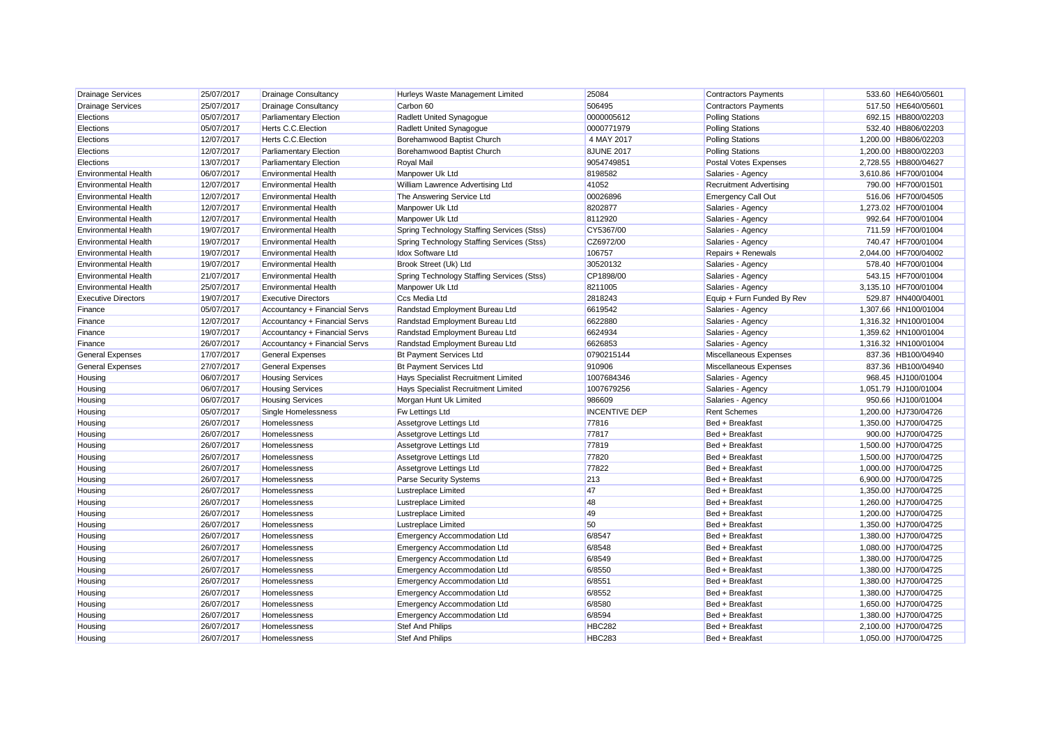| <b>Drainage Services</b>    | 25/07/2017 | <b>Drainage Consultancy</b>   | Hurleys Waste Management Limited           | 25084                | <b>Contractors Payments</b>    | 533.60 HE640/05601   |
|-----------------------------|------------|-------------------------------|--------------------------------------------|----------------------|--------------------------------|----------------------|
| <b>Drainage Services</b>    | 25/07/2017 | <b>Drainage Consultancy</b>   | Carbon 60                                  | 506495               | <b>Contractors Payments</b>    | 517.50 HE640/05601   |
| Elections                   | 05/07/2017 | <b>Parliamentary Election</b> | Radlett United Synagogue                   | 0000005612           | <b>Polling Stations</b>        | 692.15 HB800/02203   |
| Elections                   | 05/07/2017 | <b>Herts C.C. Election</b>    | Radlett United Synagogue                   | 0000771979           | <b>Polling Stations</b>        | 532.40 HB806/02203   |
| Elections                   | 12/07/2017 | Herts C.C. Election           | Borehamwood Baptist Church                 | 4 MAY 2017           | <b>Polling Stations</b>        | 1,200.00 HB806/02203 |
| Elections                   | 12/07/2017 | <b>Parliamentary Election</b> | Borehamwood Baptist Church                 | <b>8JUNE 2017</b>    | <b>Polling Stations</b>        | 1,200.00 HB800/02203 |
| Elections                   | 13/07/2017 | <b>Parliamentary Election</b> | Royal Mail                                 | 9054749851           | Postal Votes Expenses          | 2,728.55 HB800/04627 |
| <b>Environmental Health</b> | 06/07/2017 | <b>Environmental Health</b>   | Manpower Uk Ltd                            | 8198582              | Salaries - Agency              | 3,610.86 HF700/01004 |
| <b>Environmental Health</b> | 12/07/2017 | <b>Environmental Health</b>   | William Lawrence Advertising Ltd           | 41052                | <b>Recruitment Advertising</b> | 790.00 HF700/01501   |
| <b>Environmental Health</b> | 12/07/2017 | <b>Environmental Health</b>   | The Answering Service Ltd                  | 00026896             | <b>Emergency Call Out</b>      | 516.06 HF700/04505   |
| <b>Environmental Health</b> | 12/07/2017 | <b>Environmental Health</b>   | Manpower Uk Ltd                            | 8202877              | Salaries - Agency              | 1,273.02 HF700/01004 |
| <b>Environmental Health</b> | 12/07/2017 | <b>Environmental Health</b>   | Manpower Uk Ltd                            | 8112920              | Salaries - Agency              | 992.64 HF700/01004   |
| <b>Environmental Health</b> | 19/07/2017 | <b>Environmental Health</b>   | Spring Technology Staffing Services (Stss) | CY5367/00            | Salaries - Agency              | 711.59 HF700/01004   |
| <b>Environmental Health</b> | 19/07/2017 | <b>Environmental Health</b>   | Spring Technology Staffing Services (Stss) | CZ6972/00            | Salaries - Agency              | 740.47 HF700/01004   |
| <b>Environmental Health</b> | 19/07/2017 | <b>Environmental Health</b>   | Idox Software Ltd                          | 106757               | Repairs + Renewals             | 2,044.00 HF700/04002 |
| <b>Environmental Health</b> | 19/07/2017 | <b>Environmental Health</b>   | Brook Street (Uk) Ltd                      | 30520132             | Salaries - Agency              | 578.40 HF700/01004   |
| Environmental Health        | 21/07/2017 | <b>Environmental Health</b>   | Spring Technology Staffing Services (Stss) | CP1898/00            | Salaries - Agency              | 543.15 HF700/01004   |
| <b>Environmental Health</b> | 25/07/2017 | <b>Environmental Health</b>   | Manpower Uk Ltd                            | 8211005              | Salaries - Agency              | 3,135.10 HF700/01004 |
| <b>Executive Directors</b>  | 19/07/2017 | <b>Executive Directors</b>    | Ccs Media Ltd                              | 2818243              | Equip + Furn Funded By Rev     | 529.87 HN400/04001   |
| Finance                     | 05/07/2017 | Accountancy + Financial Servs | Randstad Employment Bureau Ltd             | 6619542              | Salaries - Agency              | 1,307.66 HN100/01004 |
| Finance                     | 12/07/2017 | Accountancy + Financial Servs | Randstad Employment Bureau Ltd             | 6622880              | Salaries - Agency              | 1,316.32 HN100/01004 |
| Finance                     | 19/07/2017 | Accountancy + Financial Servs | Randstad Employment Bureau Ltd             | 6624934              | Salaries - Agency              | 1,359.62 HN100/01004 |
| Finance                     | 26/07/2017 | Accountancy + Financial Servs | Randstad Employment Bureau Ltd             | 6626853              | Salaries - Agency              | 1,316.32 HN100/01004 |
| <b>General Expenses</b>     | 17/07/2017 | <b>General Expenses</b>       | <b>Bt Payment Services Ltd</b>             | 0790215144           | Miscellaneous Expenses         | 837.36 HB100/04940   |
| <b>General Expenses</b>     | 27/07/2017 | <b>General Expenses</b>       | <b>Bt Payment Services Ltd</b>             | 910906               | Miscellaneous Expenses         | 837.36 HB100/04940   |
| Housing                     | 06/07/2017 | <b>Housing Services</b>       | Hays Specialist Recruitment Limited        | 1007684346           | Salaries - Agency              | 968.45 HJ100/01004   |
| Housing                     | 06/07/2017 | <b>Housing Services</b>       | Hays Specialist Recruitment Limited        | 1007679256           | Salaries - Agency              | 1,051.79 HJ100/01004 |
| Housing                     | 06/07/2017 | <b>Housing Services</b>       | Morgan Hunt Uk Limited                     | 986609               | Salaries - Agency              | 950.66 HJ100/01004   |
| Housing                     | 05/07/2017 | Single Homelessness           | Fw Lettings Ltd                            | <b>INCENTIVE DEP</b> | <b>Rent Schemes</b>            | 1,200.00 HJ730/04726 |
| Housing                     | 26/07/2017 | Homelessness                  | Assetgrove Lettings Ltd                    | 77816                | Bed + Breakfast                | 1,350.00 HJ700/04725 |
| Housing                     | 26/07/2017 | Homelessness                  | Assetgrove Lettings Ltd                    | 77817                | Bed + Breakfast                | 900.00 HJ700/04725   |
| Housing                     | 26/07/2017 | Homelessness                  | Assetgrove Lettings Ltd                    | 77819                | Bed + Breakfast                | 1,500.00 HJ700/04725 |
| Housing                     | 26/07/2017 | Homelessness                  | Assetgrove Lettings Ltd                    | 77820                | Bed + Breakfast                | 1,500.00 HJ700/04725 |
| Housing                     | 26/07/2017 | Homelessness                  | Assetgrove Lettings Ltd                    | 77822                | Bed + Breakfast                | 1,000.00 HJ700/04725 |
| Housing                     | 26/07/2017 | Homelessness                  | Parse Security Systems                     | 213                  | Bed + Breakfast                | 6,900.00 HJ700/04725 |
| Housing                     | 26/07/2017 | Homelessness                  | Lustreplace Limited                        | 47                   | Bed + Breakfast                | 1,350.00 HJ700/04725 |
| Housina                     | 26/07/2017 | Homelessness                  | Lustreplace Limited                        | 48                   | Bed + Breakfast                | 1.260.00 HJ700/04725 |
| Housing                     | 26/07/2017 | Homelessness                  | Lustreplace Limited                        | 49                   | Bed + Breakfast                | 1,200.00 HJ700/04725 |
| Housing                     | 26/07/2017 | Homelessness                  | <b>Lustreplace Limited</b>                 | 50                   | Bed + Breakfast                | 1,350.00 HJ700/04725 |
| Housing                     | 26/07/2017 | Homelessness                  | <b>Emergency Accommodation Ltd</b>         | 6/8547               | Bed + Breakfast                | 1,380.00 HJ700/04725 |
| Housing                     | 26/07/2017 | Homelessness                  | <b>Emergency Accommodation Ltd</b>         | 6/8548               | Bed + Breakfast                | 1,080.00 HJ700/04725 |
| Housing                     | 26/07/2017 | Homelessness                  | <b>Emergency Accommodation Ltd</b>         | 6/8549               | Bed + Breakfast                | 1,380.00 HJ700/04725 |
| Housing                     | 26/07/2017 | Homelessness                  | <b>Emergency Accommodation Ltd</b>         | 6/8550               | Bed + Breakfast                | 1,380.00 HJ700/04725 |
| Housing                     | 26/07/2017 | Homelessness                  | <b>Emergency Accommodation Ltd</b>         | 6/8551               | Bed + Breakfast                | 1,380.00 HJ700/04725 |
| Housing                     | 26/07/2017 | Homelessness                  | <b>Emergency Accommodation Ltd</b>         | 6/8552               | Bed + Breakfast                | 1,380.00 HJ700/04725 |
| Housing                     | 26/07/2017 | Homelessness                  | <b>Emergency Accommodation Ltd</b>         | 6/8580               | Bed + Breakfast                | 1,650.00 HJ700/04725 |
| Housing                     | 26/07/2017 | Homelessness                  | Emergency Accommodation Ltd                | 6/8594               | Bed + Breakfast                | 1,380.00 HJ700/04725 |
| Housing                     | 26/07/2017 | Homelessness                  | Stef And Philips                           | <b>HBC282</b>        | Bed + Breakfast                | 2,100.00 HJ700/04725 |
| Housing                     | 26/07/2017 | Homelessness                  | <b>Stef And Philips</b>                    | <b>HBC283</b>        | Bed + Breakfast                | 1.050.00 HJ700/04725 |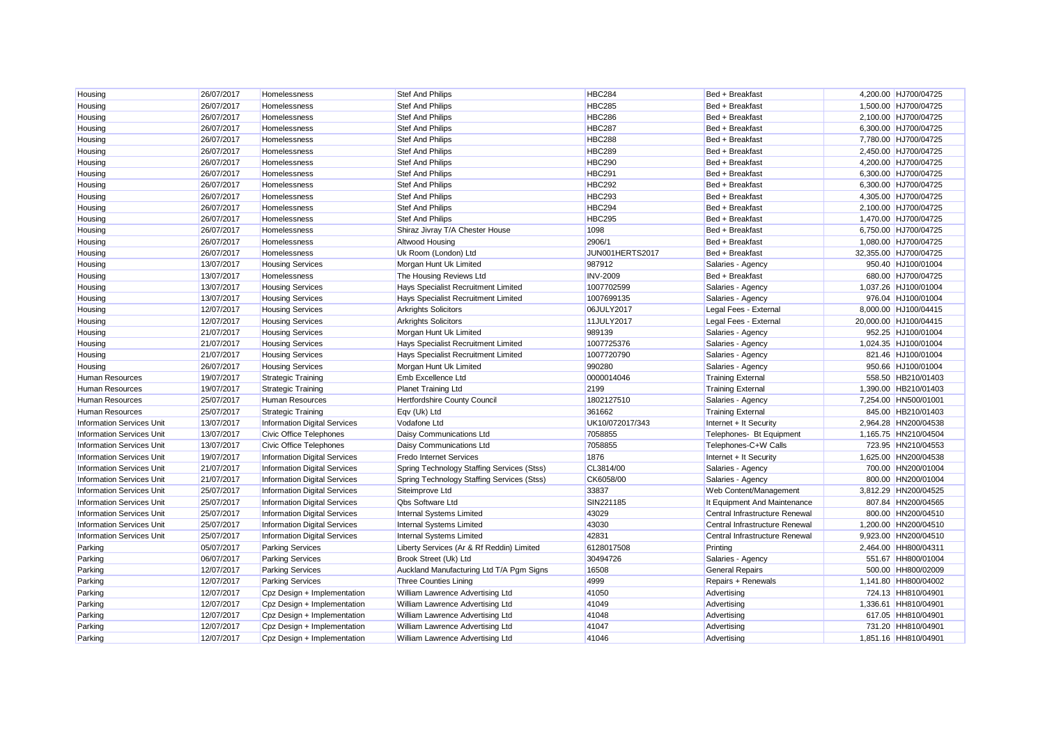| Housing                          | 26/07/2017 | Homelessness                        | <b>Stef And Philips</b>                    | HBC284          | Bed + Breakfast                | 4.200.00 HJ700/04725  |
|----------------------------------|------------|-------------------------------------|--------------------------------------------|-----------------|--------------------------------|-----------------------|
| Housing                          | 26/07/2017 | Homelessness                        | <b>Stef And Philips</b>                    | <b>HBC285</b>   | Bed + Breakfast                | 1,500.00 HJ700/04725  |
| Housing                          | 26/07/2017 | Homelessness                        | <b>Stef And Philips</b>                    | <b>HBC286</b>   | Bed + Breakfast                | 2,100.00 HJ700/04725  |
| Housing                          | 26/07/2017 | Homelessness                        | <b>Stef And Philips</b>                    | <b>HBC287</b>   | Bed + Breakfast                | 6,300.00 HJ700/04725  |
| Housing                          | 26/07/2017 | Homelessness                        | <b>Stef And Philips</b>                    | <b>HBC288</b>   | Bed + Breakfast                | 7.780.00 HJ700/04725  |
| Housing                          | 26/07/2017 | Homelessness                        | <b>Stef And Philips</b>                    | <b>HBC289</b>   | Bed + Breakfast                | 2,450.00 HJ700/04725  |
| Housing                          | 26/07/2017 | Homelessness                        | <b>Stef And Philips</b>                    | <b>HBC290</b>   | Bed + Breakfast                | 4,200.00 HJ700/04725  |
| Housing                          | 26/07/2017 | Homelessness                        | <b>Stef And Philips</b>                    | HBC291          | Bed + Breakfast                | 6,300.00 HJ700/04725  |
| Housing                          | 26/07/2017 | Homelessness                        | <b>Stef And Philips</b>                    | <b>HBC292</b>   | Bed + Breakfast                | 6,300.00 HJ700/04725  |
| Housing                          | 26/07/2017 | Homelessness                        | <b>Stef And Philips</b>                    | HBC293          | Bed + Breakfast                | 4,305.00 HJ700/04725  |
| Housing                          | 26/07/2017 | Homelessness                        | <b>Stef And Philips</b>                    | HBC294          | Bed + Breakfast                | 2,100.00 HJ700/04725  |
| Housing                          | 26/07/2017 | Homelessness                        | <b>Stef And Philips</b>                    | HBC295          | Bed + Breakfast                | 1,470.00 HJ700/04725  |
| Housing                          | 26/07/2017 | Homelessness                        | Shiraz Jivray T/A Chester House            | 1098            | Bed + Breakfast                | 6,750.00 HJ700/04725  |
| Housing                          | 26/07/2017 | Homelessness                        | Altwood Housing                            | 2906/1          | Bed + Breakfast                | 1,080.00 HJ700/04725  |
| Housing                          | 26/07/2017 | Homelessness                        | Uk Room (London) Ltd                       | JUN001HERTS2017 | Bed + Breakfast                | 32,355.00 HJ700/04725 |
| Housing                          | 13/07/2017 | <b>Housing Services</b>             | Morgan Hunt Uk Limited                     | 987912          | Salaries - Agency              | 950.40 HJ100/01004    |
| Housing                          | 13/07/2017 | Homelessness                        | The Housing Reviews Ltd                    | <b>INV-2009</b> | Bed + Breakfast                | 680.00 HJ700/04725    |
| Housing                          | 13/07/2017 | <b>Housing Services</b>             | Hays Specialist Recruitment Limited        | 1007702599      | Salaries - Agency              | 1,037.26 HJ100/01004  |
| Housing                          | 13/07/2017 | <b>Housing Services</b>             | Hays Specialist Recruitment Limited        | 1007699135      | Salaries - Agency              | 976.04 HJ100/01004    |
| Housing                          | 12/07/2017 | <b>Housing Services</b>             | <b>Arkrights Solicitors</b>                | 06JULY2017      | Legal Fees - External          | 8,000.00 HJ100/04415  |
| Housing                          | 12/07/2017 | <b>Housing Services</b>             | <b>Arkrights Solicitors</b>                | 11JULY2017      | Legal Fees - External          | 20,000.00 HJ100/04415 |
| Housing                          | 21/07/2017 | <b>Housing Services</b>             | Morgan Hunt Uk Limited                     | 989139          | Salaries - Agency              | 952.25 HJ100/01004    |
| Housing                          | 21/07/2017 | <b>Housing Services</b>             | Hays Specialist Recruitment Limited        | 1007725376      | Salaries - Agency              | 1,024.35 HJ100/01004  |
| Housing                          | 21/07/2017 | <b>Housing Services</b>             | Hays Specialist Recruitment Limited        | 1007720790      | Salaries - Agency              | 821.46 HJ100/01004    |
| Housing                          | 26/07/2017 | <b>Housing Services</b>             | Morgan Hunt Uk Limited                     | 990280          | Salaries - Agency              | 950.66 HJ100/01004    |
| <b>Human Resources</b>           | 19/07/2017 | <b>Strategic Training</b>           | Emb Excellence Ltd                         | 0000014046      | <b>Training External</b>       | 558.50 HB210/01403    |
| <b>Human Resources</b>           | 19/07/2017 | <b>Strategic Training</b>           | <b>Planet Training Ltd</b>                 | 2199            | <b>Training External</b>       | 1,390.00 HB210/01403  |
| <b>Human Resources</b>           | 25/07/2017 | Human Resources                     | Hertfordshire County Council               | 1802127510      | Salaries - Agency              | 7,254.00 HN500/01001  |
| <b>Human Resources</b>           | 25/07/2017 | <b>Strategic Training</b>           | Eqv (Uk) Ltd                               | 361662          | <b>Training External</b>       | 845.00 HB210/01403    |
| <b>Information Services Unit</b> | 13/07/2017 | <b>Information Digital Services</b> | Vodafone Ltd                               | UK10/072017/343 | Internet + It Security         | 2,964.28 HN200/04538  |
| <b>Information Services Unit</b> | 13/07/2017 | Civic Office Telephones             | Daisy Communications Ltd                   | 7058855         | Telephones- Bt Equipment       | 1,165.75 HN210/04504  |
| <b>Information Services Unit</b> | 13/07/2017 | Civic Office Telephones             | Daisy Communications Ltd                   | 7058855         | Telephones-C+W Calls           | 723.95 HN210/04553    |
| <b>Information Services Unit</b> | 19/07/2017 | <b>Information Digital Services</b> | <b>Fredo Internet Services</b>             | 1876            | Internet + It Security         | 1,625.00 HN200/04538  |
| <b>Information Services Unit</b> | 21/07/2017 | <b>Information Digital Services</b> | Spring Technology Staffing Services (Stss) | CL3814/00       | Salaries - Agency              | 700.00 HN200/01004    |
| <b>Information Services Unit</b> | 21/07/2017 | <b>Information Digital Services</b> | Spring Technology Staffing Services (Stss) | CK6058/00       | Salaries - Agency              | 800.00 HN200/01004    |
| <b>Information Services Unit</b> | 25/07/2017 | <b>Information Digital Services</b> | Siteimprove Ltd                            | 33837           | Web Content/Management         | 3,812.29 HN200/04525  |
| <b>Information Services Unit</b> | 25/07/2017 | <b>Information Digital Services</b> | <b>Qbs Software Ltd</b>                    | SIN221185       | It Equipment And Maintenance   | 807.84 HN200/04565    |
| <b>Information Services Unit</b> | 25/07/2017 | <b>Information Digital Services</b> | Internal Systems Limited                   | 43029           | Central Infrastructure Renewal | 800.00 HN200/04510    |
| <b>Information Services Unit</b> | 25/07/2017 | <b>Information Digital Services</b> | Internal Systems Limited                   | 43030           | Central Infrastructure Renewal | 1,200.00 HN200/04510  |
| <b>Information Services Unit</b> | 25/07/2017 | <b>Information Digital Services</b> | Internal Systems Limited                   | 42831           | Central Infrastructure Renewal | 9,923.00 HN200/04510  |
| Parking                          | 05/07/2017 | <b>Parking Services</b>             | Liberty Services (Ar & Rf Reddin) Limited  | 6128017508      | Printing                       | 2,464.00 HH800/04311  |
| Parking                          | 06/07/2017 | <b>Parking Services</b>             | Brook Street (Uk) Ltd                      | 30494726        | Salaries - Agency              | 551.67 HH800/01004    |
| Parking                          | 12/07/2017 | <b>Parking Services</b>             | Auckland Manufacturing Ltd T/A Pgm Signs   | 16508           | <b>General Repairs</b>         | 500.00 HH800/02009    |
| Parking                          | 12/07/2017 | <b>Parking Services</b>             | <b>Three Counties Lining</b>               | 4999            | Repairs + Renewals             | 1,141.80 HH800/04002  |
| Parking                          | 12/07/2017 | Cpz Design + Implementation         | William Lawrence Advertising Ltd           | 41050           | Advertising                    | 724.13 HH810/04901    |
| Parking                          | 12/07/2017 | Cpz Design + Implementation         | William Lawrence Advertising Ltd           | 41049           | Advertising                    | 1,336.61 HH810/04901  |
| Parking                          | 12/07/2017 | Cpz Design + Implementation         | William Lawrence Advertising Ltd           | 41048           | Advertising                    | 617.05 HH810/04901    |
| Parking                          | 12/07/2017 | Cpz Design + Implementation         | William Lawrence Advertising Ltd           | 41047           | Advertising                    | 731.20 HH810/04901    |
| Parking                          | 12/07/2017 | Cpz Design + Implementation         | William Lawrence Advertising Ltd           | 41046           | Advertising                    | 1,851.16 HH810/04901  |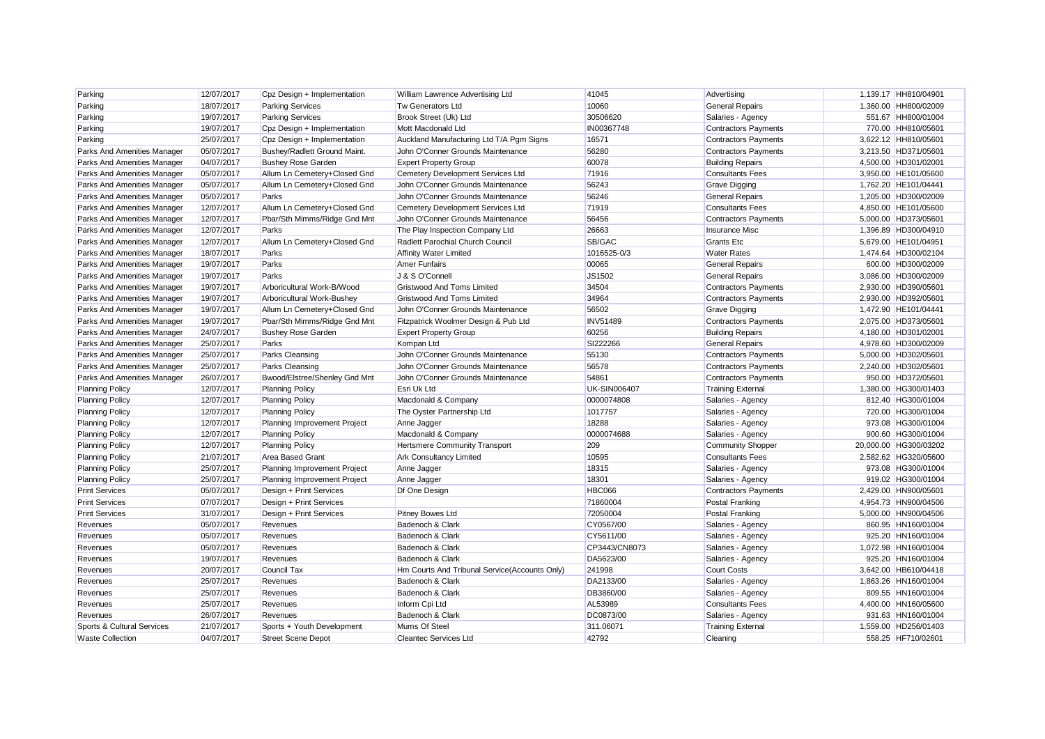| Parking                               | 12/07/2017 | Cpz Design + Implementation   | William Lawrence Advertising Ltd              | 41045               | Advertising                 | 1,139.17 HH810/04901  |
|---------------------------------------|------------|-------------------------------|-----------------------------------------------|---------------------|-----------------------------|-----------------------|
| Parking                               | 18/07/2017 | <b>Parking Services</b>       | <b>Tw Generators Ltd</b>                      | 10060               | <b>General Repairs</b>      | 1,360.00 HH800/02009  |
| Parking                               | 19/07/2017 | <b>Parking Services</b>       | Brook Street (Uk) Ltd                         | 30506620            | Salaries - Agency           | 551.67 HH800/01004    |
| Parking                               | 19/07/2017 | Cpz Design + Implementation   | Mott Macdonald Ltd                            | IN00367748          | <b>Contractors Payments</b> | 770.00 HH810/05601    |
| Parking                               | 25/07/2017 | Cpz Design + Implementation   | Auckland Manufacturing Ltd T/A Pgm Signs      | 16571               | <b>Contractors Payments</b> | 3,622.12 HH810/05601  |
| Parks And Amenities Manager           | 05/07/2017 | Bushey/Radlett Ground Maint.  | John O'Conner Grounds Maintenance             | 56280               | <b>Contractors Payments</b> | 3,213.50 HD371/05601  |
| Parks And Amenities Manager           | 04/07/2017 | <b>Bushey Rose Garden</b>     | <b>Expert Property Group</b>                  | 60078               | <b>Building Repairs</b>     | 4,500.00 HD301/02001  |
| Parks And Amenities Manager           | 05/07/2017 | Allum Ln Cemetery+Closed Gnd  | Cemetery Development Services Ltd             | 71916               | <b>Consultants Fees</b>     | 3,950.00 HE101/05600  |
| Parks And Amenities Manager           | 05/07/2017 | Allum Ln Cemetery+Closed Gnd  | John O'Conner Grounds Maintenance             | 56243               | <b>Grave Digging</b>        | 1,762.20 HE101/04441  |
| Parks And Amenities Manager           | 05/07/2017 | Parks                         | John O'Conner Grounds Maintenance             | 56246               | <b>General Repairs</b>      | 1,205.00 HD300/02009  |
| Parks And Amenities Manager           | 12/07/2017 | Allum Ln Cemetery+Closed Gnd  | Cemetery Development Services Ltd             | 71919               | <b>Consultants Fees</b>     | 4.850.00 HE101/05600  |
| Parks And Amenities Manager           | 12/07/2017 | Pbar/Sth Mimms/Ridge Gnd Mnt  | John O'Conner Grounds Maintenance             | 56456               | <b>Contractors Payments</b> | 5,000.00 HD373/05601  |
| Parks And Amenities Manager           | 12/07/2017 | Parks                         | The Play Inspection Company Ltd               | 26663               | <b>Insurance Misc</b>       | 1,396.89 HD300/04910  |
| Parks And Amenities Manager           | 12/07/2017 | Allum Ln Cemetery+Closed Gnd  | Radlett Parochial Church Council              | SB/GAC              | <b>Grants Etc</b>           | 5,679.00 HE101/04951  |
| Parks And Amenities Manager           | 18/07/2017 | Parks                         | <b>Affinity Water Limited</b>                 | 1016525-0/3         | <b>Water Rates</b>          | 1,474.64 HD300/02104  |
| Parks And Amenities Manager           | 19/07/2017 | Parks                         | <b>Amer Funfairs</b>                          | 00065               | <b>General Repairs</b>      | 600.00 HD300/02009    |
| Parks And Amenities Manager           | 19/07/2017 | Parks                         | J & S O'Connell                               | JS1502              | <b>General Repairs</b>      | 3,086.00 HD300/02009  |
| Parks And Amenities Manager           | 19/07/2017 | Arboricultural Work-B/Wood    | <b>Gristwood And Toms Limited</b>             | 34504               | <b>Contractors Payments</b> | 2,930.00 HD390/05601  |
| Parks And Amenities Manager           | 19/07/2017 | Arboricultural Work-Bushey    | <b>Gristwood And Toms Limited</b>             | 34964               | <b>Contractors Payments</b> | 2,930.00 HD392/05601  |
| Parks And Amenities Manager           | 19/07/2017 | Allum Ln Cemetery+Closed Gnd  | John O'Conner Grounds Maintenance             | 56502               | Grave Digging               | 1.472.90 HE101/04441  |
| Parks And Amenities Manager           | 19/07/2017 | Pbar/Sth Mimms/Ridge Gnd Mnt  | Fitzpatrick Woolmer Design & Pub Ltd          | <b>INV51489</b>     | <b>Contractors Payments</b> | 2,075.00 HD373/05601  |
| Parks And Amenities Manager           | 24/07/2017 | <b>Bushey Rose Garden</b>     | <b>Expert Property Group</b>                  | 60256               | <b>Building Repairs</b>     | 4,180.00 HD301/02001  |
| Parks And Amenities Manager           | 25/07/2017 | Parks                         | Kompan Ltd                                    | SI222266            | <b>General Repairs</b>      | 4,978.60 HD300/02009  |
| Parks And Amenities Manager           | 25/07/2017 | <b>Parks Cleansing</b>        | John O'Conner Grounds Maintenance             | 55130               | <b>Contractors Payments</b> | 5,000.00 HD302/05601  |
| Parks And Amenities Manager           | 25/07/2017 | <b>Parks Cleansing</b>        | John O'Conner Grounds Maintenance             | 56578               | <b>Contractors Payments</b> | 2,240.00 HD302/05601  |
| Parks And Amenities Manager           | 26/07/2017 | Bwood/Elstree/Shenley Gnd Mnt | John O'Conner Grounds Maintenance             | 54861               | <b>Contractors Payments</b> | 950.00 HD372/05601    |
| <b>Planning Policy</b>                | 12/07/2017 | <b>Planning Policy</b>        | Esri Uk Ltd                                   | <b>UK-SIN006407</b> | <b>Training External</b>    | 1,380.00 HG300/01403  |
| <b>Planning Policy</b>                | 12/07/2017 | <b>Planning Policy</b>        | Macdonald & Company                           | 0000074808          | Salaries - Agency           | 812.40 HG300/01004    |
| <b>Planning Policy</b>                | 12/07/2017 | <b>Planning Policy</b>        | The Oyster Partnership Ltd                    | 1017757             | Salaries - Agency           | 720.00 HG300/01004    |
| <b>Planning Policy</b>                | 12/07/2017 | Planning Improvement Project  | Anne Jagger                                   | 18288               | Salaries - Agency           | 973.08 HG300/01004    |
| <b>Planning Policy</b>                | 12/07/2017 | <b>Planning Policy</b>        | Macdonald & Company                           | 0000074688          | Salaries - Agency           | 900.60 HG300/01004    |
| <b>Planning Policy</b>                | 12/07/2017 | <b>Planning Policy</b>        | <b>Hertsmere Community Transport</b>          | 209                 | <b>Community Shopper</b>    | 20.000.00 HG300/03202 |
| <b>Planning Policy</b>                | 21/07/2017 | <b>Area Based Grant</b>       | <b>Ark Consultancy Limited</b>                | 10595               | <b>Consultants Fees</b>     | 2,582.62 HG320/05600  |
| <b>Planning Policy</b>                | 25/07/2017 | Planning Improvement Project  | Anne Jagger                                   | 18315               | Salaries - Agency           | 973.08 HG300/01004    |
| <b>Planning Policy</b>                | 25/07/2017 | Planning Improvement Project  | Anne Jagger                                   | 18301               | Salaries - Agency           | 919.02 HG300/01004    |
| <b>Print Services</b>                 | 05/07/2017 | Design + Print Services       | Df One Design                                 | <b>HBC066</b>       | <b>Contractors Payments</b> | 2,429.00 HN900/05601  |
| <b>Print Services</b>                 | 07/07/2017 | Design + Print Services       |                                               | 71860004            | Postal Franking             | 4,954.73 HN900/04506  |
| <b>Print Services</b>                 | 31/07/2017 | Design + Print Services       | <b>Pitney Bowes Ltd</b>                       | 72050004            | Postal Franking             | 5,000.00 HN900/04506  |
| Revenues                              | 05/07/2017 | Revenues                      | Badenoch & Clark                              | CY0567/00           | Salaries - Agency           | 860.95 HN160/01004    |
| Revenues                              | 05/07/2017 | Revenues                      | Badenoch & Clark                              | CY5611/00           | Salaries - Agency           | 925.20 HN160/01004    |
| Revenues                              | 05/07/2017 | Revenues                      | Badenoch & Clark                              | CP3443/CN8073       | Salaries - Agency           | 1.072.98 HN160/01004  |
| Revenues                              | 19/07/2017 | Revenues                      | Badenoch & Clark                              | DA5623/00           | Salaries - Agency           | 925.20 HN160/01004    |
| Revenues                              | 20/07/2017 | Council Tax                   | Hm Courts And Tribunal Service(Accounts Only) | 241998              | <b>Court Costs</b>          | 3,642.00 HB610/04418  |
| Revenues                              | 25/07/2017 | Revenues                      | Badenoch & Clark                              | DA2133/00           | Salaries - Agency           | 1,863.26 HN160/01004  |
| Revenues                              | 25/07/2017 | Revenues                      | Badenoch & Clark                              | DB3860/00           | Salaries - Agency           | 809.55 HN160/01004    |
| Revenues                              | 25/07/2017 | Revenues                      | Inform Cpi Ltd                                | AL53989             | <b>Consultants Fees</b>     | 4,400.00 HN160/05600  |
| Revenues                              | 26/07/2017 | Revenues                      | Badenoch & Clark                              | DC0873/00           | Salaries - Agency           | 931.63 HN160/01004    |
| <b>Sports &amp; Cultural Services</b> | 21/07/2017 | Sports + Youth Development    | Mums Of Steel                                 | 311.06071           | <b>Training External</b>    | 1,559.00 HD256/01403  |
| <b>Waste Collection</b>               | 04/07/2017 | <b>Street Scene Depot</b>     | <b>Cleantec Services Ltd</b>                  | 42792               | Cleaning                    | 558.25 HF710/02601    |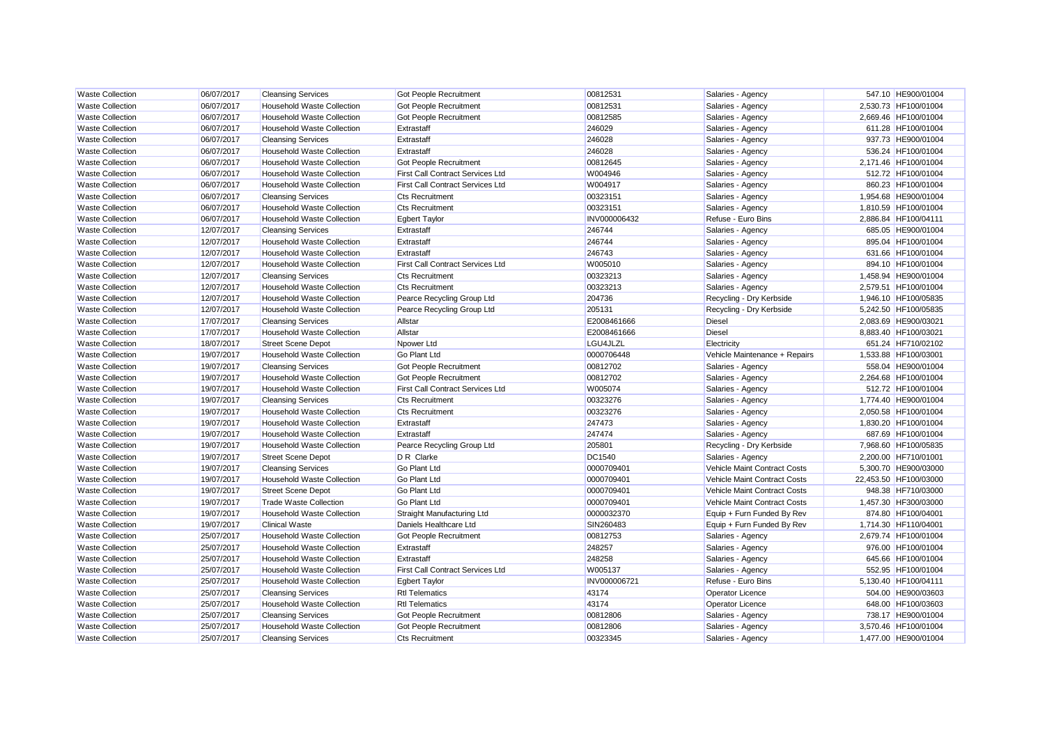| <b>Waste Collection</b> | 06/07/2017 | <b>Cleansing Services</b>         | <b>Got People Recruitment</b>    | 00812531      | Salaries - Agency             | 547.10 HE900/01004    |
|-------------------------|------------|-----------------------------------|----------------------------------|---------------|-------------------------------|-----------------------|
| <b>Waste Collection</b> | 06/07/2017 | <b>Household Waste Collection</b> | <b>Got People Recruitment</b>    | 00812531      | Salaries - Agency             | 2.530.73 HF100/01004  |
| <b>Waste Collection</b> | 06/07/2017 | <b>Household Waste Collection</b> | Got People Recruitment           | 00812585      | Salaries - Agency             | 2.669.46 HF100/01004  |
| <b>Waste Collection</b> | 06/07/2017 | <b>Household Waste Collection</b> | Extrastaff                       | 246029        | Salaries - Agency             | 611.28 HF100/01004    |
| <b>Waste Collection</b> | 06/07/2017 | <b>Cleansing Services</b>         | Extrastaff                       | 246028        | Salaries - Agency             | 937.73 HE900/01004    |
| <b>Waste Collection</b> | 06/07/2017 | <b>Household Waste Collection</b> | Extrastaff                       | 246028        | Salaries - Agency             | 536.24 HF100/01004    |
| <b>Waste Collection</b> | 06/07/2017 | <b>Household Waste Collection</b> | Got People Recruitment           | 00812645      | Salaries - Agency             | 2,171.46 HF100/01004  |
| <b>Waste Collection</b> | 06/07/2017 | <b>Household Waste Collection</b> | First Call Contract Services Ltd | W004946       | Salaries - Agency             | 512.72 HF100/01004    |
| <b>Waste Collection</b> | 06/07/2017 | <b>Household Waste Collection</b> | First Call Contract Services Ltd | W004917       | Salaries - Agency             | 860.23 HF100/01004    |
| <b>Waste Collection</b> | 06/07/2017 | <b>Cleansing Services</b>         | <b>Cts Recruitment</b>           | 00323151      | Salaries - Agency             | 1,954.68 HE900/01004  |
| <b>Waste Collection</b> | 06/07/2017 | <b>Household Waste Collection</b> | <b>Cts Recruitment</b>           | 00323151      | Salaries - Agency             | 1,810.59 HF100/01004  |
| <b>Waste Collection</b> | 06/07/2017 | <b>Household Waste Collection</b> | <b>Egbert Taylor</b>             | INV000006432  | Refuse - Euro Bins            | 2,886.84 HF100/04111  |
| <b>Waste Collection</b> | 12/07/2017 | <b>Cleansing Services</b>         | Extrastaff                       | 246744        | Salaries - Agency             | 685.05 HE900/01004    |
| <b>Waste Collection</b> | 12/07/2017 | <b>Household Waste Collection</b> | Extrastaff                       | 246744        | Salaries - Agency             | 895.04 HF100/01004    |
| <b>Waste Collection</b> | 12/07/2017 | <b>Household Waste Collection</b> | Extrastaff                       | 246743        | Salaries - Agency             | 631.66 HF100/01004    |
| <b>Waste Collection</b> | 12/07/2017 | <b>Household Waste Collection</b> | First Call Contract Services Ltd | W005010       | Salaries - Agency             | 894.10 HF100/01004    |
| <b>Waste Collection</b> | 12/07/2017 | <b>Cleansing Services</b>         | <b>Cts Recruitment</b>           | 00323213      | Salaries - Agency             | 1,458.94 HE900/01004  |
| <b>Waste Collection</b> | 12/07/2017 | <b>Household Waste Collection</b> | <b>Cts Recruitment</b>           | 00323213      | Salaries - Agency             | 2.579.51 HF100/01004  |
| <b>Waste Collection</b> | 12/07/2017 | <b>Household Waste Collection</b> | Pearce Recycling Group Ltd       | 204736        | Recycling - Dry Kerbside      | 1,946.10 HF100/05835  |
| <b>Waste Collection</b> | 12/07/2017 | <b>Household Waste Collection</b> | Pearce Recycling Group Ltd       | 205131        | Recycling - Dry Kerbside      | 5,242.50 HF100/05835  |
| <b>Waste Collection</b> | 17/07/2017 | <b>Cleansing Services</b>         | Allstar                          | E2008461666   | <b>Diesel</b>                 | 2,083.69 HE900/03021  |
| <b>Waste Collection</b> | 17/07/2017 | <b>Household Waste Collection</b> | Allstar                          | E2008461666   | <b>Diesel</b>                 | 8,883.40 HF100/03021  |
| <b>Waste Collection</b> | 18/07/2017 | <b>Street Scene Depot</b>         | Npower Ltd                       | LGU4JLZL      | Electricity                   | 651.24 HF710/02102    |
| <b>Waste Collection</b> | 19/07/2017 | <b>Household Waste Collection</b> | <b>Go Plant Ltd</b>              | 0000706448    | Vehicle Maintenance + Repairs | 1,533.88 HF100/03001  |
| <b>Waste Collection</b> | 19/07/2017 | <b>Cleansing Services</b>         | Got People Recruitment           | 00812702      | Salaries - Agency             | 558.04 HE900/01004    |
| <b>Waste Collection</b> | 19/07/2017 | <b>Household Waste Collection</b> | Got People Recruitment           | 00812702      | Salaries - Agency             | 2,264.68 HF100/01004  |
| <b>Waste Collection</b> | 19/07/2017 | <b>Household Waste Collection</b> | First Call Contract Services Ltd | W005074       | Salaries - Agency             | 512.72 HF100/01004    |
| <b>Waste Collection</b> | 19/07/2017 | <b>Cleansing Services</b>         | <b>Cts Recruitment</b>           | 00323276      | Salaries - Agency             | 1,774.40 HE900/01004  |
| <b>Waste Collection</b> | 19/07/2017 | <b>Household Waste Collection</b> | <b>Cts Recruitment</b>           | 00323276      | Salaries - Agency             | 2,050.58 HF100/01004  |
| <b>Waste Collection</b> | 19/07/2017 | <b>Household Waste Collection</b> | Extrastaff                       | 247473        | Salaries - Agency             | 1,830.20 HF100/01004  |
| <b>Waste Collection</b> | 19/07/2017 | <b>Household Waste Collection</b> | Extrastaff                       | 247474        | Salaries - Agency             | 687.69 HF100/01004    |
| <b>Waste Collection</b> | 19/07/2017 | <b>Household Waste Collection</b> | Pearce Recycling Group Ltd       | 205801        | Recycling - Dry Kerbside      | 7,968.60 HF100/05835  |
| <b>Waste Collection</b> | 19/07/2017 | <b>Street Scene Depot</b>         | D R Clarke                       | <b>DC1540</b> | Salaries - Agency             | 2.200.00 HF710/01001  |
| <b>Waste Collection</b> | 19/07/2017 | <b>Cleansing Services</b>         | <b>Go Plant Ltd</b>              | 0000709401    | Vehicle Maint Contract Costs  | 5.300.70 HE900/03000  |
| <b>Waste Collection</b> | 19/07/2017 | <b>Household Waste Collection</b> | <b>Go Plant Ltd</b>              | 0000709401    | Vehicle Maint Contract Costs  | 22,453.50 HF100/03000 |
| <b>Waste Collection</b> | 19/07/2017 | <b>Street Scene Depot</b>         | <b>Go Plant Ltd</b>              | 0000709401    | Vehicle Maint Contract Costs  | 948.38 HF710/03000    |
| <b>Waste Collection</b> | 19/07/2017 | <b>Trade Waste Collection</b>     | <b>Go Plant Ltd</b>              | 0000709401    | Vehicle Maint Contract Costs  | 1,457.30 HF300/03000  |
| <b>Waste Collection</b> | 19/07/2017 | <b>Household Waste Collection</b> | Straight Manufacturing Ltd       | 0000032370    | Equip + Furn Funded By Rev    | 874.80 HF100/04001    |
| <b>Waste Collection</b> | 19/07/2017 | <b>Clinical Waste</b>             | Daniels Healthcare Ltd           | SIN260483     | Equip + Furn Funded By Rev    | 1,714.30 HF110/04001  |
| <b>Waste Collection</b> | 25/07/2017 | <b>Household Waste Collection</b> | Got People Recruitment           | 00812753      | Salaries - Agency             | 2,679.74 HF100/01004  |
| <b>Waste Collection</b> | 25/07/2017 | <b>Household Waste Collection</b> | Extrastaff                       | 248257        | Salaries - Agency             | 976.00 HF100/01004    |
| <b>Waste Collection</b> | 25/07/2017 | <b>Household Waste Collection</b> | Extrastaff                       | 248258        | Salaries - Agency             | 645.66 HF100/01004    |
| <b>Waste Collection</b> | 25/07/2017 | <b>Household Waste Collection</b> | First Call Contract Services Ltd | W005137       | Salaries - Agency             | 552.95 HF100/01004    |
| <b>Waste Collection</b> | 25/07/2017 | <b>Household Waste Collection</b> | <b>Egbert Taylor</b>             | INV000006721  | Refuse - Euro Bins            | 5,130.40 HF100/04111  |
| <b>Waste Collection</b> | 25/07/2017 | <b>Cleansing Services</b>         | <b>Rtl Telematics</b>            | 43174         | <b>Operator Licence</b>       | 504.00 HE900/03603    |
| <b>Waste Collection</b> | 25/07/2017 | <b>Household Waste Collection</b> | <b>Rtl Telematics</b>            | 43174         | Operator Licence              | 648.00 HF100/03603    |
| <b>Waste Collection</b> | 25/07/2017 | <b>Cleansing Services</b>         | Got People Recruitment           | 00812806      | Salaries - Agency             | 738.17 HE900/01004    |
| <b>Waste Collection</b> | 25/07/2017 | <b>Household Waste Collection</b> | Got People Recruitment           | 00812806      | Salaries - Agency             | 3,570.46 HF100/01004  |
| <b>Waste Collection</b> | 25/07/2017 | <b>Cleansing Services</b>         | <b>Cts Recruitment</b>           | 00323345      | Salaries - Agency             | 1,477.00 HE900/01004  |